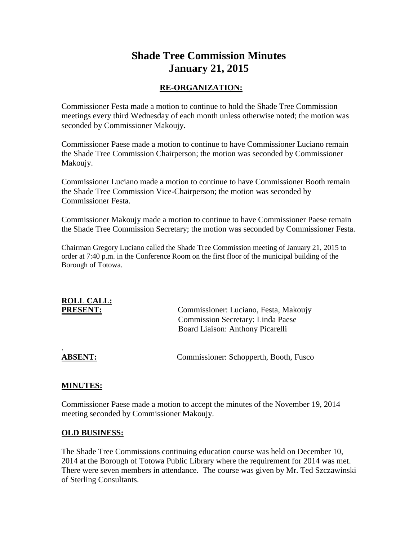# **Shade Tree Commission Minutes January 21, 2015**

### **RE-ORGANIZATION:**

Commissioner Festa made a motion to continue to hold the Shade Tree Commission meetings every third Wednesday of each month unless otherwise noted; the motion was seconded by Commissioner Makoujy.

Commissioner Paese made a motion to continue to have Commissioner Luciano remain the Shade Tree Commission Chairperson; the motion was seconded by Commissioner Makoujy.

Commissioner Luciano made a motion to continue to have Commissioner Booth remain the Shade Tree Commission Vice-Chairperson; the motion was seconded by Commissioner Festa.

Commissioner Makoujy made a motion to continue to have Commissioner Paese remain the Shade Tree Commission Secretary; the motion was seconded by Commissioner Festa.

Chairman Gregory Luciano called the Shade Tree Commission meeting of January 21, 2015 to order at 7:40 p.m. in the Conference Room on the first floor of the municipal building of the Borough of Totowa.

# **ROLL CALL:**

PRESENT: Commissioner: Luciano, Festa, Makoujy Commission Secretary: Linda Paese Board Liaison: Anthony Picarelli

.

**ABSENT:** Commissioner: Schopperth, Booth, Fusco

#### **MINUTES:**

Commissioner Paese made a motion to accept the minutes of the November 19, 2014 meeting seconded by Commissioner Makoujy.

#### **OLD BUSINESS:**

The Shade Tree Commissions continuing education course was held on December 10, 2014 at the Borough of Totowa Public Library where the requirement for 2014 was met. There were seven members in attendance. The course was given by Mr. Ted Szczawinski of Sterling Consultants.